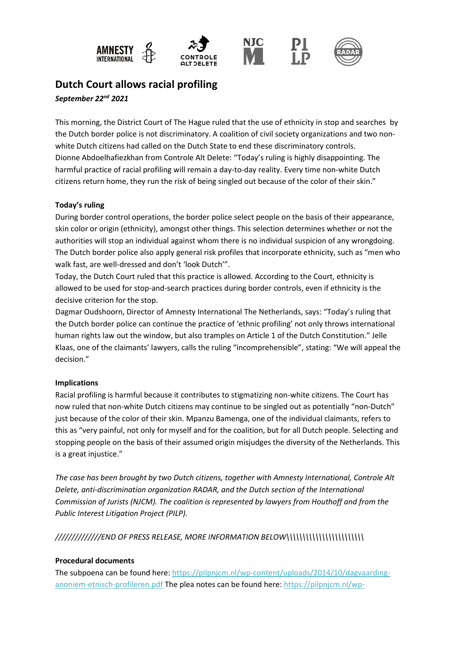

# **Dutch Court allows racial profiling**

*September 22nd 2021*

This morning, the District Court of The Hague ruled that the use of ethnicity in stop and searches by the Dutch border police is not discriminatory. A coalition of civil society organizations and two nonwhite Dutch citizens had called on the Dutch State to end these discriminatory controls. Dionne Abdoelhafiezkhan from Controle Alt Delete: "Today's ruling is highly disappointing. The harmful practice of racial profiling will remain a day-to-day reality. Every time non-white Dutch citizens return home, they run the risk of being singled out because of the color of their skin."

## **Today's ruling**

During border control operations, the border police select people on the basis of their appearance, skin color or origin (ethnicity), amongst other things. This selection determines whether or not the authorities will stop an individual against whom there is no individual suspicion of any wrongdoing. The Dutch border police also apply general risk profiles that incorporate ethnicity, such as "men who walk fast, are well-dressed and don't 'look Dutch'".

Today, the Dutch Court ruled that this practice is allowed. According to the Court, ethnicity is allowed to be used for stop-and-search practices during border controls, even if ethnicity is the decisive criterion for the stop.

Dagmar Oudshoorn, Director of Amnesty International The Netherlands, says: "Today's ruling that the Dutch border police can continue the practice of 'ethnic profiling' not only throws international human rights law out the window, but also tramples on Article 1 of the Dutch Constitution." Jelle Klaas, one of the claimants' lawyers, calls the ruling "incomprehensible", stating: "We will appeal the decision."

# **Implications**

Racial profiling is harmful because it contributes to stigmatizing non-white citizens. The Court has now ruled that non-white Dutch citizens may continue to be singled out as potentially "non-Dutch" just because of the color of their skin. Mpanzu Bamenga, one of the individual claimants, refers to this as "very painful, not only for myself and for the coalition, but for all Dutch people. Selecting and stopping people on the basis of their assumed origin misjudges the diversity of the Netherlands. This is a great injustice."

*The case has been brought by two Dutch citizens, together with Amnesty International, Controle Alt Delete, anti-discrimination organization RADAR, and the Dutch section of the International Commission of Jurists (NJCM). The coalition is represented by lawyers from Houthoff and from the Public Interest Litigation Project (PILP).* 

*//////////////END OF PRESS RELEASE, MORE INFORMATION BELOW\\\\\\\\\\\\\\\\\\\\\\\\*

#### **Procedural documents**

The subpoena can be found here[: https://pilpnjcm.nl/wp-content/uploads/2014/10/dagvaarding](https://pilpnjcm.nl/wp-content/uploads/2014/10/dagvaarding-anoniem-etnisch-profileren.pdf)[anoniem-etnisch-profileren.pdf](https://pilpnjcm.nl/wp-content/uploads/2014/10/dagvaarding-anoniem-etnisch-profileren.pdf) The plea notes can be found here: [https://pilpnjcm.nl/wp-](https://pilpnjcm.nl/wp-content/uploads/2021/06/2021.06.15-pleitaantekeningen-def-anoniem-007A-WEBSITE.pdf)